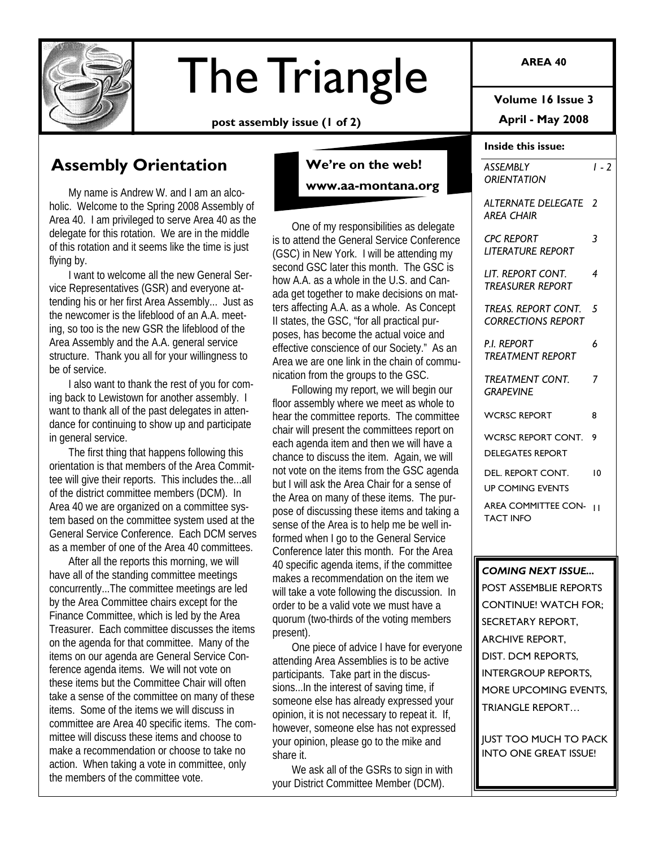

# The Triangle

**post assembly issue (1 of 2)** 

# **Assembly Orientation**

My name is Andrew W. and I am an alcoholic. Welcome to the Spring 2008 Assembly of Area 40. I am privileged to serve Area 40 as the delegate for this rotation. We are in the middle of this rotation and it seems like the time is just flying by.

I want to welcome all the new General Service Representatives (GSR) and everyone attending his or her first Area Assembly... Just as the newcomer is the lifeblood of an A.A. meeting, so too is the new GSR the lifeblood of the Area Assembly and the A.A. general service structure. Thank you all for your willingness to be of service.

I also want to thank the rest of you for coming back to Lewistown for another assembly. I want to thank all of the past delegates in attendance for continuing to show up and participate in general service.

The first thing that happens following this orientation is that members of the Area Committee will give their reports. This includes the...all of the district committee members (DCM). In Area 40 we are organized on a committee system based on the committee system used at the General Service Conference. Each DCM serves as a member of one of the Area 40 committees.

After all the reports this morning, we will have all of the standing committee meetings concurrently...The committee meetings are led by the Area Committee chairs except for the Finance Committee, which is led by the Area Treasurer. Each committee discusses the items on the agenda for that committee. Many of the items on our agenda are General Service Conference agenda items. We will not vote on these items but the Committee Chair will often take a sense of the committee on many of these items. Some of the items we will discuss in committee are Area 40 specific items. The committee will discuss these items and choose to make a recommendation or choose to take no action. When taking a vote in committee, only the members of the committee vote.

**We're on the web! www.aa-montana.org** 

One of my responsibilities as delegate is to attend the General Service Conference (GSC) in New York. I will be attending my second GSC later this month. The GSC is how A.A. as a whole in the U.S. and Canada get together to make decisions on matters affecting A.A. as a whole. As Concept II states, the GSC, "for all practical purposes, has become the actual voice and effective conscience of our Society." As an Area we are one link in the chain of communication from the groups to the GSC.

Following my report, we will begin our floor assembly where we meet as whole to hear the committee reports. The committee chair will present the committees report on each agenda item and then we will have a chance to discuss the item. Again, we will not vote on the items from the GSC agenda but I will ask the Area Chair for a sense of the Area on many of these items. The purpose of discussing these items and taking a sense of the Area is to help me be well informed when I go to the General Service Conference later this month. For the Area 40 specific agenda items, if the committee makes a recommendation on the item we will take a vote following the discussion. In order to be a valid vote we must have a quorum (two-thirds of the voting members present).

One piece of advice I have for everyone attending Area Assemblies is to be active participants. Take part in the discussions...In the interest of saving time, if someone else has already expressed your opinion, it is not necessary to repeat it. If, however, someone else has not expressed your opinion, please go to the mike and share it.

We ask all of the GSRs to sign in with your District Committee Member (DCM).

**AREA 40** 

**Volume 16 Issue 3** 

**April - May 2008** 

### **Inside this issue:**

| ASSEMBLY<br><b>ORIENTATION</b>                   | $1 - 2$ |  |  |
|--------------------------------------------------|---------|--|--|
| ALTERNATE DELEGATE<br><b>AREA CHAIR</b>          | 2       |  |  |
| <b>CPC REPORT</b><br><b>LITERATURE REPORT</b>    | 3       |  |  |
| LIT. REPORT CONT.<br><b>TREASURER REPORT</b>     | 4       |  |  |
| TREAS. REPORT CONT.<br><b>CORRECTIONS REPORT</b> | 5       |  |  |
| <b>PI REPORT</b><br><b>TREATMENT REPORT</b>      | 6       |  |  |
| TREATMENT CONT.<br>GRAPEVINE                     | 7       |  |  |
| <b>WCRSC REPORT</b>                              | 8       |  |  |
| WCRSC REPORT CONT.<br><b>DELEGATES REPORT</b>    | 9       |  |  |
| DEL. REPORT CONT.<br><b>UP COMING EVENTS</b>     | 10      |  |  |
| AREA COMMITTEE CON-<br><b>TACT INFO</b>          | п       |  |  |
| ÷                                                |         |  |  |
| <b>COMING NEXT ISSUE</b>                         |         |  |  |
| POST ASSEMBLIE REPORTS                           |         |  |  |
| <b>CONTINUE! WATCH FOR:</b>                      |         |  |  |
| SECRETARY REPORT,                                |         |  |  |
| <b>ARCHIVE REPORT,</b>                           |         |  |  |
| DIST. DCM REPORTS,                               |         |  |  |

TRIANGLE REPORT…

INTERGROUP REPORTS, MORE UPCOMING EVENTS,

JUST TOO MUCH TO PACK INTO ONE GREAT ISSUE!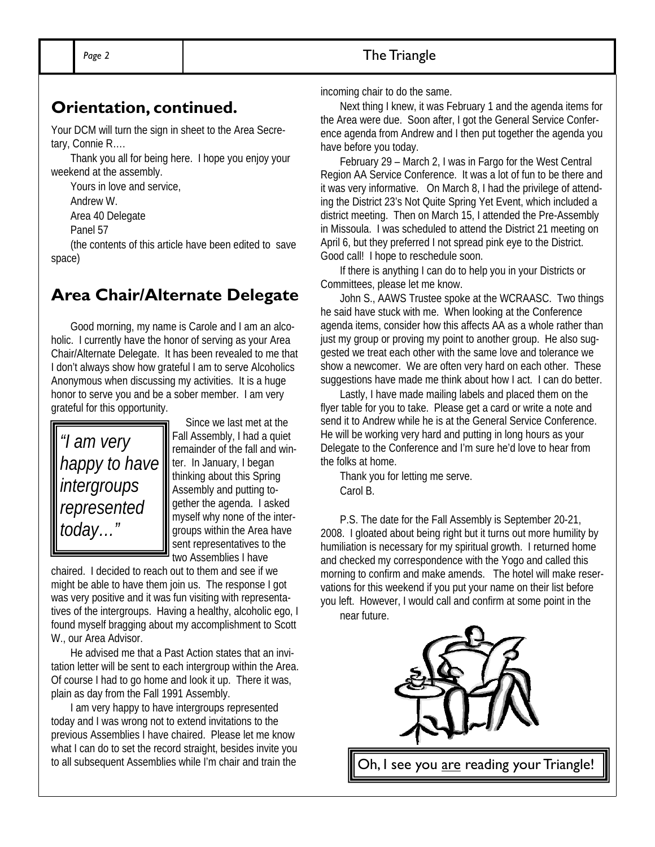# **Orientation, continued.**

Your DCM will turn the sign in sheet to the Area Secretary, Connie R….

Thank you all for being here. I hope you enjoy your weekend at the assembly.

Yours in love and service,

Andrew W.

Area 40 Delegate

Panel 57

(the contents of this article have been edited to save space)

# **Area Chair/Alternate Delegate**

Good morning, my name is Carole and I am an alcoholic. I currently have the honor of serving as your Area Chair/Alternate Delegate. It has been revealed to me that I don't always show how grateful I am to serve Alcoholics Anonymous when discussing my activities. It is a huge honor to serve you and be a sober member. I am very grateful for this opportunity.



 Since we last met at the Fall Assembly, I had a quiet remainder of the fall and winter. In January, I began thinking about this Spring Assembly and putting together the agenda. I asked myself why none of the intergroups within the Area have sent representatives to the two Assemblies I have

chaired. I decided to reach out to them and see if we might be able to have them join us. The response I got was very positive and it was fun visiting with representatives of the intergroups. Having a healthy, alcoholic ego, I found myself bragging about my accomplishment to Scott W., our Area Advisor.

He advised me that a Past Action states that an invitation letter will be sent to each intergroup within the Area. Of course I had to go home and look it up. There it was, plain as day from the Fall 1991 Assembly.

I am very happy to have intergroups represented today and I was wrong not to extend invitations to the previous Assemblies I have chaired. Please let me know what I can do to set the record straight, besides invite you to all subsequent Assemblies while I'm chair and train the

incoming chair to do the same.

Next thing I knew, it was February 1 and the agenda items for the Area were due. Soon after, I got the General Service Conference agenda from Andrew and I then put together the agenda you have before you today.

February 29 – March 2, I was in Fargo for the West Central Region AA Service Conference. It was a lot of fun to be there and it was very informative. On March 8, I had the privilege of attending the District 23's Not Quite Spring Yet Event, which included a district meeting. Then on March 15, I attended the Pre-Assembly in Missoula. I was scheduled to attend the District 21 meeting on April 6, but they preferred I not spread pink eye to the District. Good call! I hope to reschedule soon.

If there is anything I can do to help you in your Districts or Committees, please let me know.

John S., AAWS Trustee spoke at the WCRAASC. Two things he said have stuck with me. When looking at the Conference agenda items, consider how this affects AA as a whole rather than just my group or proving my point to another group. He also suggested we treat each other with the same love and tolerance we show a newcomer. We are often very hard on each other. These suggestions have made me think about how I act. I can do better.

Lastly, I have made mailing labels and placed them on the flyer table for you to take. Please get a card or write a note and send it to Andrew while he is at the General Service Conference. He will be working very hard and putting in long hours as your Delegate to the Conference and I'm sure he'd love to hear from the folks at home.

Thank you for letting me serve. Carol B.

P.S. The date for the Fall Assembly is September 20-21, 2008. I gloated about being right but it turns out more humility by humiliation is necessary for my spiritual growth. I returned home and checked my correspondence with the Yogo and called this morning to confirm and make amends. The hotel will make reservations for this weekend if you put your name on their list before you left. However, I would call and confirm at some point in the near future.

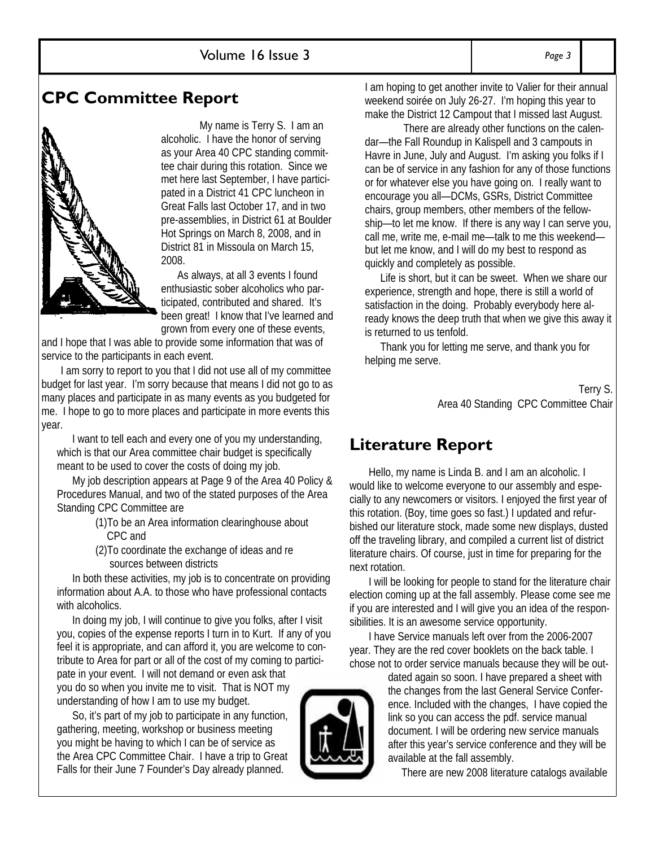## **CPC Committee Report**

My name is Terry S. I am an alcoholic. I have the honor of serving as your Area 40 CPC standing committee chair during this rotation. Since we met here last September, I have participated in a District 41 CPC luncheon in Great Falls last October 17, and in two pre-assemblies, in District 61 at Boulder Hot Springs on March 8, 2008, and in District 81 in Missoula on March 15, 2008.

 As always, at all 3 events I found enthusiastic sober alcoholics who participated, contributed and shared. It's been great! I know that I've learned and grown from every one of these events,

and I hope that I was able to provide some information that was of service to the participants in each event.

I am sorry to report to you that I did not use all of my committee budget for last year. I'm sorry because that means I did not go to as many places and participate in as many events as you budgeted for me. I hope to go to more places and participate in more events this year.

I want to tell each and every one of you my understanding, which is that our Area committee chair budget is specifically meant to be used to cover the costs of doing my job.

My job description appears at Page 9 of the Area 40 Policy & Procedures Manual, and two of the stated purposes of the Area Standing CPC Committee are

- (1)To be an Area information clearinghouse about CPC and
- (2)To coordinate the exchange of ideas and re sources between districts

In both these activities, my job is to concentrate on providing information about A.A. to those who have professional contacts with alcoholics.

In doing my job, I will continue to give you folks, after I visit you, copies of the expense reports I turn in to Kurt. If any of you feel it is appropriate, and can afford it, you are welcome to contribute to Area for part or all of the cost of my coming to participate in your event. I will not demand or even ask that you do so when you invite me to visit. That is NOT my understanding of how I am to use my budget.

So, it's part of my job to participate in any function, gathering, meeting, workshop or business meeting you might be having to which I can be of service as the Area CPC Committee Chair. I have a trip to Great Falls for their June 7 Founder's Day already planned.



There are already other functions on the calendar—the Fall Roundup in Kalispell and 3 campouts in Havre in June, July and August. I'm asking you folks if I can be of service in any fashion for any of those functions or for whatever else you have going on. I really want to encourage you all—DCMs, GSRs, District Committee chairs, group members, other members of the fellowship—to let me know. If there is any way I can serve you, call me, write me, e-mail me—talk to me this weekend but let me know, and I will do my best to respond as quickly and completely as possible.

Life is short, but it can be sweet. When we share our experience, strength and hope, there is still a world of satisfaction in the doing. Probably everybody here already knows the deep truth that when we give this away it is returned to us tenfold.

Thank you for letting me serve, and thank you for helping me serve.

> Terry S. Area 40 Standing CPC Committee Chair

## **Literature Report**

Hello, my name is Linda B. and I am an alcoholic. I would like to welcome everyone to our assembly and especially to any newcomers or visitors. I enjoyed the first year of this rotation. (Boy, time goes so fast.) I updated and refurbished our literature stock, made some new displays, dusted off the traveling library, and compiled a current list of district literature chairs. Of course, just in time for preparing for the next rotation.

I will be looking for people to stand for the literature chair election coming up at the fall assembly. Please come see me if you are interested and I will give you an idea of the responsibilities. It is an awesome service opportunity.

I have Service manuals left over from the 2006-2007 year. They are the red cover booklets on the back table. I chose not to order service manuals because they will be out-

> dated again so soon. I have prepared a sheet with the changes from the last General Service Conference. Included with the changes, I have copied the link so you can access the pdf. service manual document. I will be ordering new service manuals after this year's service conference and they will be available at the fall assembly.

There are new 2008 literature catalogs available

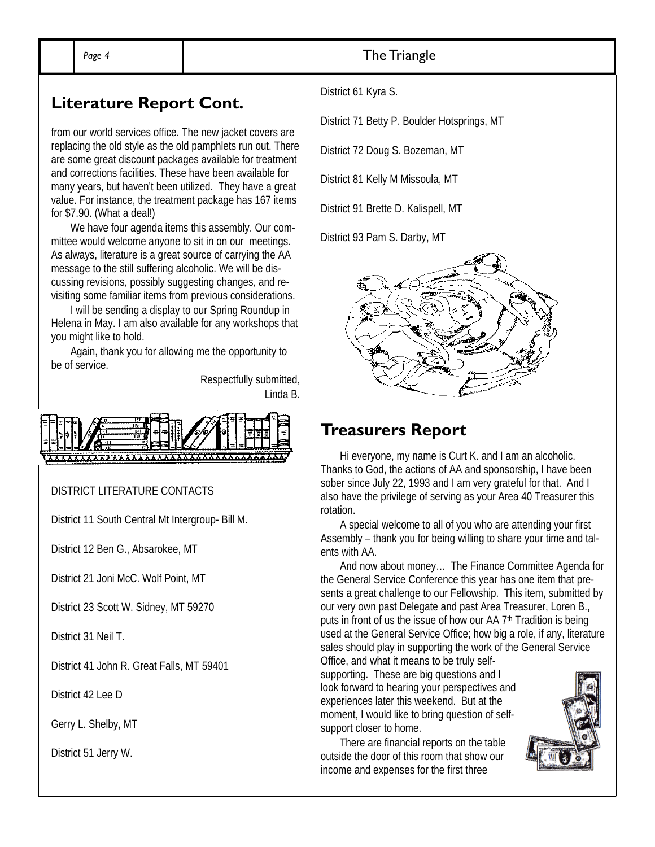### Page 4 **The Triangle**

### **Literature Report Cont.**

from our world services office. The new jacket covers are replacing the old style as the old pamphlets run out. There are some great discount packages available for treatment and corrections facilities. These have been available for many years, but haven't been utilized. They have a great value. For instance, the treatment package has 167 items for \$7.90. (What a deal!)

We have four agenda items this assembly. Our committee would welcome anyone to sit in on our meetings. As always, literature is a great source of carrying the AA message to the still suffering alcoholic. We will be discussing revisions, possibly suggesting changes, and revisiting some familiar items from previous considerations.

I will be sending a display to our Spring Roundup in Helena in May. I am also available for any workshops that you might like to hold.

Again, thank you for allowing me the opportunity to be of service.

> Respectfully submitted, Linda B.



DISTRICT LITERATURE CONTACTS

District 11 South Central Mt Intergroup- Bill M.

District 12 Ben G., Absarokee, MT

District 21 Joni McC. Wolf Point, MT

District 23 Scott W. Sidney, MT 59270

District 31 Neil T.

District 41 John R. Great Falls, MT 59401

District 42 Lee D

Gerry L. Shelby, MT

District 51 Jerry W.

District 61 Kyra S.

District 71 Betty P. Boulder Hotsprings, MT

District 72 Doug S. Bozeman, MT

District 81 Kelly M Missoula, MT

District 91 Brette D. Kalispell, MT

District 93 Pam S. Darby, MT



### **Treasurers Report**

Hi everyone, my name is Curt K. and I am an alcoholic. Thanks to God, the actions of AA and sponsorship, I have been sober since July 22, 1993 and I am very grateful for that. And I also have the privilege of serving as your Area 40 Treasurer this rotation.

A special welcome to all of you who are attending your first Assembly – thank you for being willing to share your time and talents with AA.

And now about money… The Finance Committee Agenda for the General Service Conference this year has one item that presents a great challenge to our Fellowship. This item, submitted by our very own past Delegate and past Area Treasurer, Loren B., puts in front of us the issue of how our AA  $7<sup>th</sup>$  Tradition is being used at the General Service Office; how big a role, if any, literature sales should play in supporting the work of the General Service Office, and what it means to be truly self-

supporting. These are big questions and I look forward to hearing your perspectives and experiences later this weekend. But at the moment, I would like to bring question of selfsupport closer to home.

There are financial reports on the table outside the door of this room that show our income and expenses for the first three

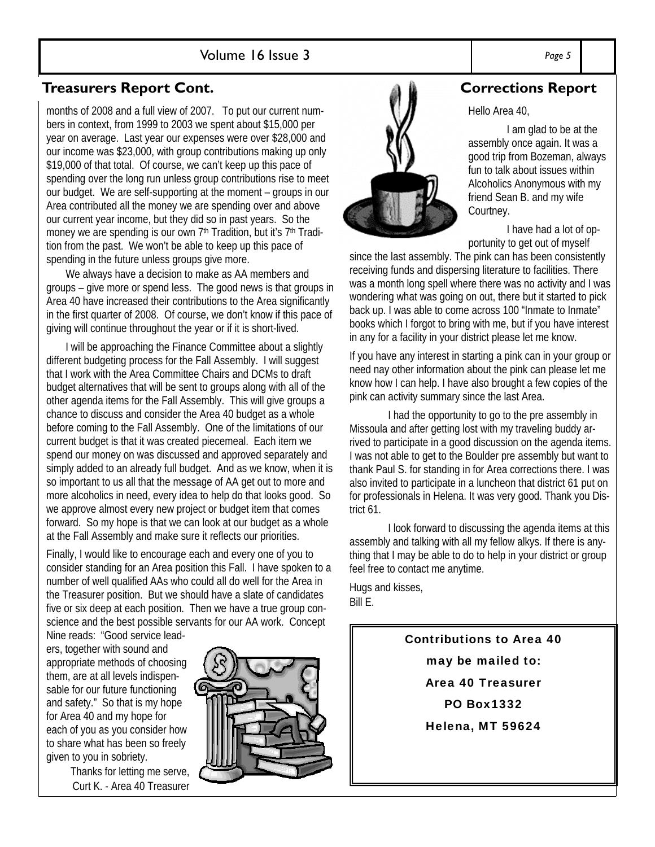### Volume 16 Issue 3 *Page 5*

### **Treasurers Report Cont.**

months of 2008 and a full view of 2007. To put our current numbers in context, from 1999 to 2003 we spent about \$15,000 per year on average. Last year our expenses were over \$28,000 and our income was \$23,000, with group contributions making up only \$19,000 of that total. Of course, we can't keep up this pace of spending over the long run unless group contributions rise to meet our budget. We are self-supporting at the moment – groups in our Area contributed all the money we are spending over and above our current year income, but they did so in past years. So the money we are spending is our own 7<sup>th</sup> Tradition, but it's 7<sup>th</sup> Tradition from the past. We won't be able to keep up this pace of spending in the future unless groups give more.

We always have a decision to make as AA members and groups – give more or spend less. The good news is that groups in Area 40 have increased their contributions to the Area significantly in the first quarter of 2008. Of course, we don't know if this pace of giving will continue throughout the year or if it is short-lived.

I will be approaching the Finance Committee about a slightly different budgeting process for the Fall Assembly. I will suggest that I work with the Area Committee Chairs and DCMs to draft budget alternatives that will be sent to groups along with all of the other agenda items for the Fall Assembly. This will give groups a chance to discuss and consider the Area 40 budget as a whole before coming to the Fall Assembly. One of the limitations of our current budget is that it was created piecemeal. Each item we spend our money on was discussed and approved separately and simply added to an already full budget. And as we know, when it is so important to us all that the message of AA get out to more and more alcoholics in need, every idea to help do that looks good. So we approve almost every new project or budget item that comes forward. So my hope is that we can look at our budget as a whole at the Fall Assembly and make sure it reflects our priorities.

Finally, I would like to encourage each and every one of you to consider standing for an Area position this Fall. I have spoken to a number of well qualified AAs who could all do well for the Area in the Treasurer position. But we should have a slate of candidates five or six deep at each position. Then we have a true group conscience and the best possible servants for our AA work. Concept

Nine reads: "Good service leaders, together with sound and appropriate methods of choosing them, are at all levels indispensable for our future functioning and safety." So that is my hope for Area 40 and my hope for each of you as you consider how to share what has been so freely given to you in sobriety.

Thanks for letting me serve, Curt K. - Area 40 Treasurer





### **Corrections Report**

Hello Area 40,

 I am glad to be at the assembly once again. It was a good trip from Bozeman, always fun to talk about issues within Alcoholics Anonymous with my friend Sean B. and my wife Courtney.

 I have had a lot of opportunity to get out of myself

since the last assembly. The pink can has been consistently receiving funds and dispersing literature to facilities. There was a month long spell where there was no activity and I was wondering what was going on out, there but it started to pick back up. I was able to come across 100 "Inmate to Inmate" books which I forgot to bring with me, but if you have interest in any for a facility in your district please let me know.

If you have any interest in starting a pink can in your group or need nay other information about the pink can please let me know how I can help. I have also brought a few copies of the pink can activity summary since the last Area.

 I had the opportunity to go to the pre assembly in Missoula and after getting lost with my traveling buddy arrived to participate in a good discussion on the agenda items. I was not able to get to the Boulder pre assembly but want to thank Paul S. for standing in for Area corrections there. I was also invited to participate in a luncheon that district 61 put on for professionals in Helena. It was very good. Thank you District 61.

 I look forward to discussing the agenda items at this assembly and talking with all my fellow alkys. If there is anything that I may be able to do to help in your district or group feel free to contact me anytime.

Hugs and kisses, Bill E.

> Contributions to Area 40 may be mailed to: Area 40 Treasurer PO Box1332 Helena, MT 59624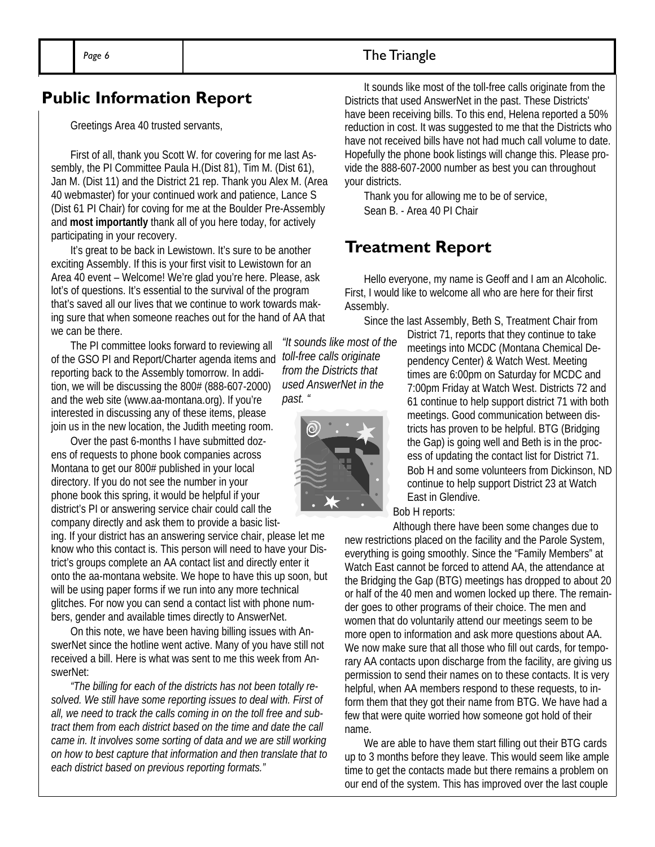Greetings Area 40 trusted servants,

First of all, thank you Scott W. for covering for me last Assembly, the PI Committee Paula H.(Dist 81), Tim M. (Dist 61), Jan M. (Dist 11) and the District 21 rep. Thank you Alex M. (Area 40 webmaster) for your continued work and patience, Lance S (Dist 61 PI Chair) for coving for me at the Boulder Pre-Assembly and **most importantly** thank all of you here today, for actively participating in your recovery.

It's great to be back in Lewistown. It's sure to be another exciting Assembly. If this is your first visit to Lewistown for an Area 40 event – Welcome! We're glad you're here. Please, ask lot's of questions. It's essential to the survival of the program that's saved all our lives that we continue to work towards making sure that when someone reaches out for the hand of AA that we can be there.

The PI committee looks forward to reviewing all of the GSO PI and Report/Charter agenda items and *toll-free calls originate*  reporting back to the Assembly tomorrow. In addition, we will be discussing the 800# (888-607-2000) and the web site (www.aa-montana.org). If you're interested in discussing any of these items, please join us in the new location, the Judith meeting room.

Over the past 6-months I have submitted dozens of requests to phone book companies across Montana to get our 800# published in your local directory. If you do not see the number in your phone book this spring, it would be helpful if your district's PI or answering service chair could call the company directly and ask them to provide a basic list-

ing. If your district has an answering service chair, please let me know who this contact is. This person will need to have your District's groups complete an AA contact list and directly enter it onto the aa-montana website. We hope to have this up soon, but will be using paper forms if we run into any more technical glitches. For now you can send a contact list with phone numbers, gender and available times directly to AnswerNet.

On this note, we have been having billing issues with AnswerNet since the hotline went active. Many of you have still not received a bill. Here is what was sent to me this week from AnswerNet:

*"The billing for each of the districts has not been totally resolved. We still have some reporting issues to deal with. First of all, we need to track the calls coming in on the toll free and subtract them from each district based on the time and date the call came in. It involves some sorting of data and we are still working on how to best capture that information and then translate that to each district based on previous reporting formats."* 

It sounds like most of the toll-free calls originate from the<br>Districts that used AnswerNet in the past. These Districts' Districts that used AnswerNet in the past. These Districts' have been receiving bills. To this end, Helena reported a 50% reduction in cost. It was suggested to me that the Districts who have not received bills have not had much call volume to date. Hopefully the phone book listings will change this. Please provide the 888-607-2000 number as best you can throughout your districts.

> Thank you for allowing me to be of service, Sean B. - Area 40 PI Chair

### **Treatment Report**

Hello everyone, my name is Geoff and I am an Alcoholic. First, I would like to welcome all who are here for their first Assembly.

Since the last Assembly, Beth S, Treatment Chair from

District 71, reports that they continue to take meetings into MCDC (Montana Chemical Dependency Center) & Watch West. Meeting times are 6:00pm on Saturday for MCDC and 7:00pm Friday at Watch West. Districts 72 and 61 continue to help support district 71 with both meetings. Good communication between districts has proven to be helpful. BTG (Bridging the Gap) is going well and Beth is in the process of updating the contact list for District 71. Bob H and some volunteers from Dickinson, ND continue to help support District 23 at Watch East in Glendive.

Bob H reports:

Although there have been some changes due to new restrictions placed on the facility and the Parole System, everything is going smoothly. Since the "Family Members" at Watch East cannot be forced to attend AA, the attendance at the Bridging the Gap (BTG) meetings has dropped to about 20 or half of the 40 men and women locked up there. The remainder goes to other programs of their choice. The men and women that do voluntarily attend our meetings seem to be more open to information and ask more questions about AA. We now make sure that all those who fill out cards, for temporary AA contacts upon discharge from the facility, are giving us permission to send their names on to these contacts. It is very helpful, when AA members respond to these requests, to inform them that they got their name from BTG. We have had a few that were quite worried how someone got hold of their name.

We are able to have them start filling out their BTG cards up to 3 months before they leave. This would seem like ample time to get the contacts made but there remains a problem on our end of the system. This has improved over the last couple

*"It sounds like most of the from the Districts that used AnswerNet in the past. "*

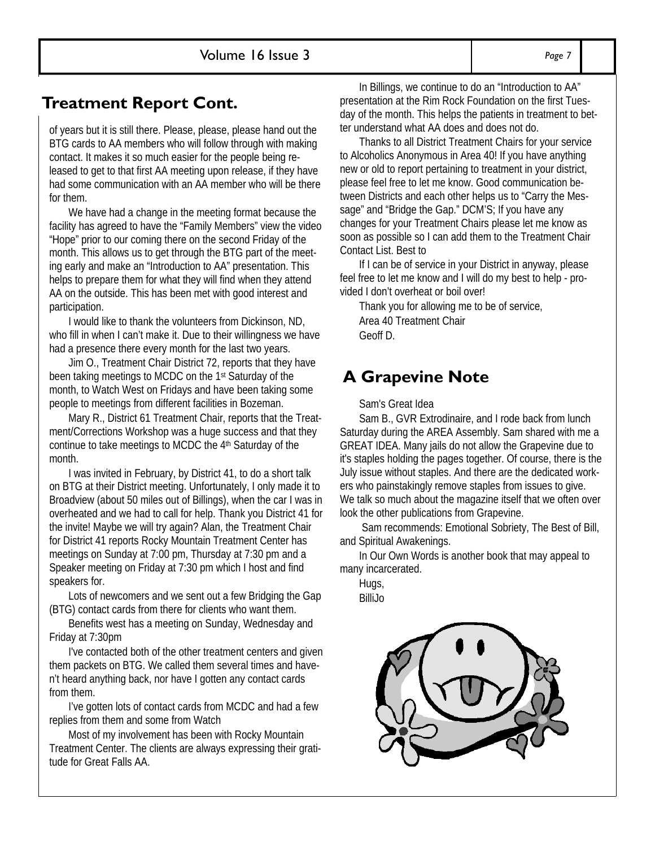# **Treatment Report Cont.**

of years but it is still there. Please, please, please hand out the BTG cards to AA members who will follow through with making contact. It makes it so much easier for the people being released to get to that first AA meeting upon release, if they have had some communication with an AA member who will be there for them.

We have had a change in the meeting format because the facility has agreed to have the "Family Members" view the video "Hope" prior to our coming there on the second Friday of the month. This allows us to get through the BTG part of the meeting early and make an "Introduction to AA" presentation. This helps to prepare them for what they will find when they attend AA on the outside. This has been met with good interest and participation.

I would like to thank the volunteers from Dickinson, ND, who fill in when I can't make it. Due to their willingness we have had a presence there every month for the last two years.

Jim O., Treatment Chair District 72, reports that they have been taking meetings to MCDC on the 1st Saturday of the month, to Watch West on Fridays and have been taking some people to meetings from different facilities in Bozeman.

Mary R., District 61 Treatment Chair, reports that the Treatment/Corrections Workshop was a huge success and that they continue to take meetings to MCDC the 4<sup>th</sup> Saturday of the month.

I was invited in February, by District 41, to do a short talk on BTG at their District meeting. Unfortunately, I only made it to Broadview (about 50 miles out of Billings), when the car I was in overheated and we had to call for help. Thank you District 41 for the invite! Maybe we will try again? Alan, the Treatment Chair for District 41 reports Rocky Mountain Treatment Center has meetings on Sunday at 7:00 pm, Thursday at 7:30 pm and a Speaker meeting on Friday at 7:30 pm which I host and find speakers for.

Lots of newcomers and we sent out a few Bridging the Gap (BTG) contact cards from there for clients who want them.

Benefits west has a meeting on Sunday, Wednesday and Friday at 7:30pm

I've contacted both of the other treatment centers and given them packets on BTG. We called them several times and haven't heard anything back, nor have I gotten any contact cards from them.

I've gotten lots of contact cards from MCDC and had a few replies from them and some from Watch

Most of my involvement has been with Rocky Mountain Treatment Center. The clients are always expressing their gratitude for Great Falls AA.

In Billings, we continue to do an "Introduction to AA" presentation at the Rim Rock Foundation on the first Tuesday of the month. This helps the patients in treatment to better understand what AA does and does not do.

Thanks to all District Treatment Chairs for your service to Alcoholics Anonymous in Area 40! If you have anything new or old to report pertaining to treatment in your district, please feel free to let me know. Good communication between Districts and each other helps us to "Carry the Message" and "Bridge the Gap." DCM'S; If you have any changes for your Treatment Chairs please let me know as soon as possible so I can add them to the Treatment Chair Contact List. Best to

If I can be of service in your District in anyway, please feel free to let me know and I will do my best to help - provided I don't overheat or boil over!

Thank you for allowing me to be of service, Area 40 Treatment Chair Geoff D.

# **A Grapevine Note**

### Sam's Great Idea

Sam B., GVR Extrodinaire, and I rode back from lunch Saturday during the AREA Assembly. Sam shared with me a GREAT IDEA. Many jails do not allow the Grapevine due to it's staples holding the pages together. Of course, there is the July issue without staples. And there are the dedicated workers who painstakingly remove staples from issues to give. We talk so much about the magazine itself that we often over look the other publications from Grapevine.

 Sam recommends: Emotional Sobriety, The Best of Bill, and Spiritual Awakenings.

In Our Own Words is another book that may appeal to many incarcerated.

Hugs, BilliJo

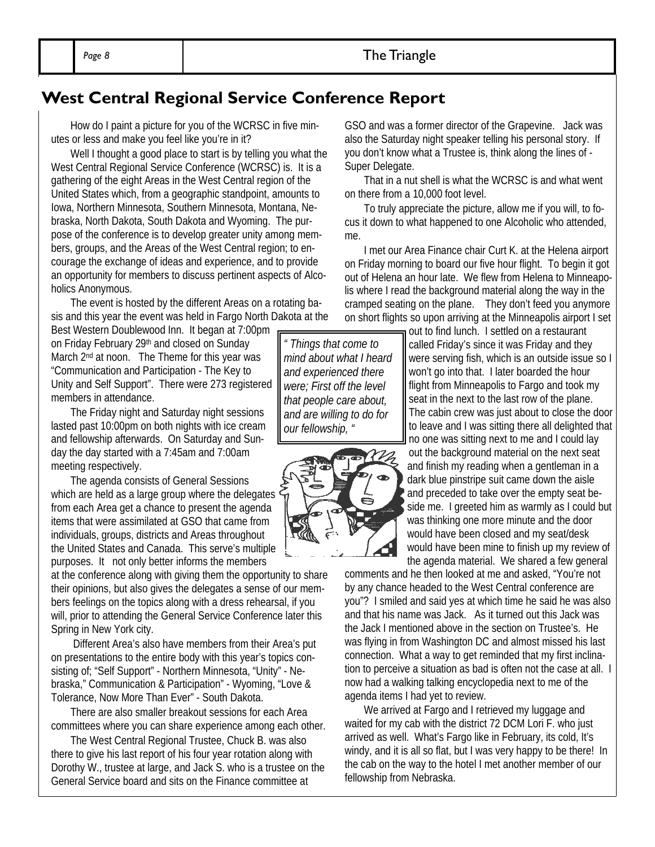# **West Central Regional Service Conference Report**

How do I paint a picture for you of the WCRSC in five minutes or less and make you feel like you're in it?

Well I thought a good place to start is by telling you what the West Central Regional Service Conference (WCRSC) is. It is a gathering of the eight Areas in the West Central region of the United States which, from a geographic standpoint, amounts to Iowa, Northern Minnesota, Southern Minnesota, Montana, Nebraska, North Dakota, South Dakota and Wyoming. The purpose of the conference is to develop greater unity among members, groups, and the Areas of the West Central region; to encourage the exchange of ideas and experience, and to provide an opportunity for members to discuss pertinent aspects of Alcoholics Anonymous.

The event is hosted by the different Areas on a rotating basis and this year the event was held in Fargo North Dakota at the

Best Western Doublewood Inn. It began at 7:00pm on Friday February 29th and closed on Sunday March 2<sup>nd</sup> at noon. The Theme for this year was "Communication and Participation - The Key to Unity and Self Support". There were 273 registered members in attendance.

The Friday night and Saturday night sessions lasted past 10:00pm on both nights with ice cream and fellowship afterwards. On Saturday and Sunday the day started with a 7:45am and 7:00am meeting respectively.

The agenda consists of General Sessions which are held as a large group where the delegates  $\cdot$ from each Area get a chance to present the agenda items that were assimilated at GSO that came from individuals, groups, districts and Areas throughout the United States and Canada. This serve's multiple purposes. It not only better informs the members

at the conference along with giving them the opportunity to share their opinions, but also gives the delegates a sense of our members feelings on the topics along with a dress rehearsal, if you will, prior to attending the General Service Conference later this Spring in New York city.

 Different Area's also have members from their Area's put on presentations to the entire body with this year's topics consisting of; "Self Support" - Northern Minnesota, "Unity" - Nebraska," Communication & Participation" - Wyoming, "Love & Tolerance, Now More Than Ever" - South Dakota.

There are also smaller breakout sessions for each Area committees where you can share experience among each other.

The West Central Regional Trustee, Chuck B. was also there to give his last report of his four year rotation along with Dorothy W., trustee at large, and Jack S. who is a trustee on the General Service board and sits on the Finance committee at

GSO and was a former director of the Grapevine. Jack was also the Saturday night speaker telling his personal story. If you don't know what a Trustee is, think along the lines of - Super Delegate.

That in a nut shell is what the WCRSC is and what went on there from a 10,000 foot level.

To truly appreciate the picture, allow me if you will, to focus it down to what happened to one Alcoholic who attended, me.

I met our Area Finance chair Curt K. at the Helena airport on Friday morning to board our five hour flight. To begin it got out of Helena an hour late. We flew from Helena to Minneapolis where I read the background material along the way in the cramped seating on the plane. They don't feed you anymore on short flights so upon arriving at the Minneapolis airport I set

out to find lunch. I settled on a restaurant called Friday's since it was Friday and they were serving fish, which is an outside issue so I won't go into that. I later boarded the hour flight from Minneapolis to Fargo and took my seat in the next to the last row of the plane. The cabin crew was just about to close the door to leave and I was sitting there all delighted that no one was sitting next to me and I could lay out the background material on the next seat and finish my reading when a gentleman in a dark blue pinstripe suit came down the aisle and preceded to take over the empty seat beside me. I greeted him as warmly as I could but was thinking one more minute and the door would have been closed and my seat/desk would have been mine to finish up my review of the agenda material. We shared a few general

comments and he then looked at me and asked, "You're not by any chance headed to the West Central conference are you"? I smiled and said yes at which time he said he was also and that his name was Jack. As it turned out this Jack was the Jack I mentioned above in the section on Trustee's. He was flying in from Washington DC and almost missed his last connection. What a way to get reminded that my first inclination to perceive a situation as bad is often not the case at all. I now had a walking talking encyclopedia next to me of the agenda items I had yet to review.

We arrived at Fargo and I retrieved my luggage and waited for my cab with the district 72 DCM Lori F. who just arrived as well. What's Fargo like in February, its cold, It's windy, and it is all so flat, but I was very happy to be there! In the cab on the way to the hotel I met another member of our fellowship from Nebraska.

*" Things that come to mind about what I heard and experienced there were; First off the level that people care about, and are willing to do for our fellowship, "*

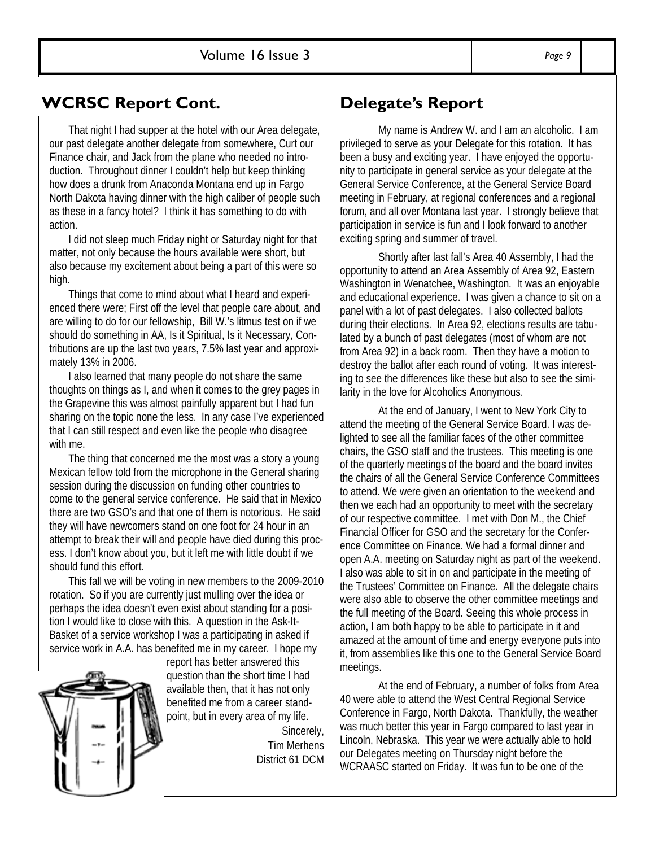# **WCRSC Report Cont.**

That night I had supper at the hotel with our Area delegate, our past delegate another delegate from somewhere, Curt our Finance chair, and Jack from the plane who needed no introduction. Throughout dinner I couldn't help but keep thinking how does a drunk from Anaconda Montana end up in Fargo North Dakota having dinner with the high caliber of people such as these in a fancy hotel? I think it has something to do with action.

I did not sleep much Friday night or Saturday night for that matter, not only because the hours available were short, but also because my excitement about being a part of this were so high.

Things that come to mind about what I heard and experienced there were; First off the level that people care about, and are willing to do for our fellowship, Bill W.'s litmus test on if we should do something in AA, Is it Spiritual, Is it Necessary, Contributions are up the last two years, 7.5% last year and approximately 13% in 2006.

I also learned that many people do not share the same thoughts on things as I, and when it comes to the grey pages in the Grapevine this was almost painfully apparent but I had fun sharing on the topic none the less. In any case I've experienced that I can still respect and even like the people who disagree with me.

The thing that concerned me the most was a story a young Mexican fellow told from the microphone in the General sharing session during the discussion on funding other countries to come to the general service conference. He said that in Mexico there are two GSO's and that one of them is notorious. He said they will have newcomers stand on one foot for 24 hour in an attempt to break their will and people have died during this process. I don't know about you, but it left me with little doubt if we should fund this effort.

This fall we will be voting in new members to the 2009-2010 rotation. So if you are currently just mulling over the idea or perhaps the idea doesn't even exist about standing for a position I would like to close with this. A question in the Ask-It-Basket of a service workshop I was a participating in asked if service work in A.A. has benefited me in my career. I hope my



report has better answered this question than the short time I had available then, that it has not only benefited me from a career standpoint, but in every area of my life. Sincerely, Tim Merhens District 61 DCM

# **Delegate's Report**

 My name is Andrew W. and I am an alcoholic. I am privileged to serve as your Delegate for this rotation. It has been a busy and exciting year. I have enjoyed the opportunity to participate in general service as your delegate at the General Service Conference, at the General Service Board meeting in February, at regional conferences and a regional forum, and all over Montana last year. I strongly believe that participation in service is fun and I look forward to another exciting spring and summer of travel.

 Shortly after last fall's Area 40 Assembly, I had the opportunity to attend an Area Assembly of Area 92, Eastern Washington in Wenatchee, Washington. It was an enjoyable and educational experience. I was given a chance to sit on a panel with a lot of past delegates. I also collected ballots during their elections. In Area 92, elections results are tabulated by a bunch of past delegates (most of whom are not from Area 92) in a back room. Then they have a motion to destroy the ballot after each round of voting. It was interesting to see the differences like these but also to see the similarity in the love for Alcoholics Anonymous.

 At the end of January, I went to New York City to attend the meeting of the General Service Board. I was delighted to see all the familiar faces of the other committee chairs, the GSO staff and the trustees. This meeting is one of the quarterly meetings of the board and the board invites the chairs of all the General Service Conference Committees to attend. We were given an orientation to the weekend and then we each had an opportunity to meet with the secretary of our respective committee. I met with Don M., the Chief Financial Officer for GSO and the secretary for the Conference Committee on Finance. We had a formal dinner and open A.A. meeting on Saturday night as part of the weekend. I also was able to sit in on and participate in the meeting of the Trustees' Committee on Finance. All the delegate chairs were also able to observe the other committee meetings and the full meeting of the Board. Seeing this whole process in action, I am both happy to be able to participate in it and amazed at the amount of time and energy everyone puts into it, from assemblies like this one to the General Service Board meetings.

 At the end of February, a number of folks from Area 40 were able to attend the West Central Regional Service Conference in Fargo, North Dakota. Thankfully, the weather was much better this year in Fargo compared to last year in Lincoln, Nebraska. This year we were actually able to hold our Delegates meeting on Thursday night before the WCRAASC started on Friday. It was fun to be one of the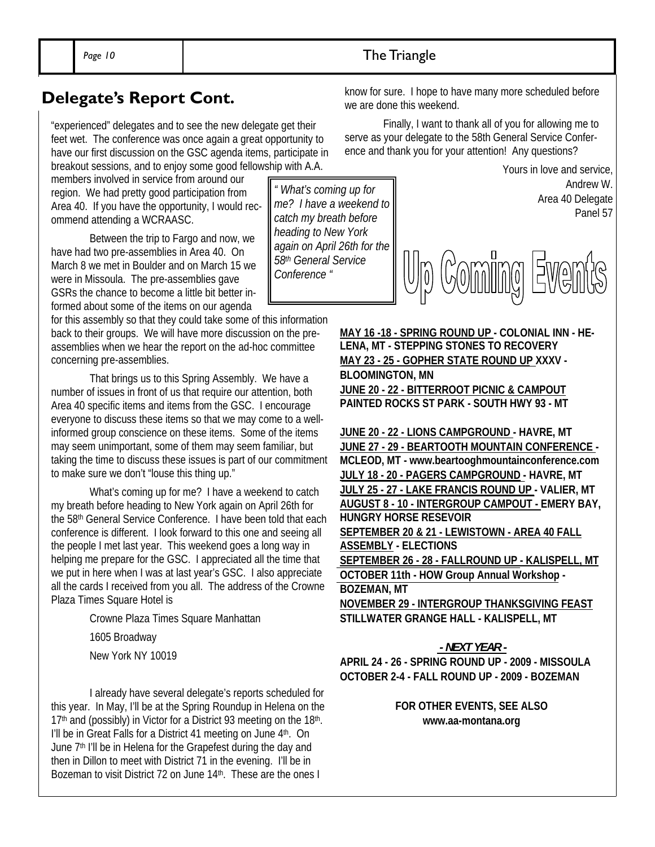"experienced" delegates and to see the new delegate get their feet wet. The conference was once again a great opportunity to have our first discussion on the GSC agenda items, participate in breakout sessions, and to enjoy some good fellowship with A.A.

members involved in service from around our region. We had pretty good participation from Area 40. If you have the opportunity, I would recommend attending a WCRAASC.

 Between the trip to Fargo and now, we have had two pre-assemblies in Area 40. On March 8 we met in Boulder and on March 15 we were in Missoula. The pre-assemblies gave GSRs the chance to become a little bit better informed about some of the items on our agenda

for this assembly so that they could take some of this information back to their groups. We will have more discussion on the preassemblies when we hear the report on the ad-hoc committee concerning pre-assemblies.

 That brings us to this Spring Assembly. We have a number of issues in front of us that require our attention, both Area 40 specific items and items from the GSC. I encourage everyone to discuss these items so that we may come to a wellinformed group conscience on these items. Some of the items may seem unimportant, some of them may seem familiar, but taking the time to discuss these issues is part of our commitment to make sure we don't "louse this thing up."

 What's coming up for me? I have a weekend to catch my breath before heading to New York again on April 26th for the 58th General Service Conference. I have been told that each conference is different. I look forward to this one and seeing all the people I met last year. This weekend goes a long way in helping me prepare for the GSC. I appreciated all the time that we put in here when I was at last year's GSC. I also appreciate all the cards I received from you all. The address of the Crowne Plaza Times Square Hotel is

Crowne Plaza Times Square Manhattan

1605 Broadway

New York NY 10019

 I already have several delegate's reports scheduled for this year. In May, I'll be at the Spring Roundup in Helena on the  $17<sup>th</sup>$  and (possibly) in Victor for a District 93 meeting on the  $18<sup>th</sup>$ . I'll be in Great Falls for a District 41 meeting on June 4<sup>th</sup>. On June 7<sup>th</sup> I'll be in Helena for the Grapefest during the day and then in Dillon to meet with District 71 in the evening. I'll be in Bozeman to visit District 72 on June 14<sup>th</sup>. These are the ones I

*" What's coming up for me? I have a weekend to catch my breath before heading to New York again on April 26th for the 58th General Service Conference "*

**Delegate's Report Cont.** Know for sure. I hope to have many more scheduled before we are done this weekend.

> Finally, I want to thank all of you for allowing me to serve as your delegate to the 58th General Service Conference and thank you for your attention! Any questions?



**MAY 16 -18 - SPRING ROUND UP - COLONIAL INN - HE-LENA, MT - STEPPING STONES TO RECOVERY MAY 23 - 25 - GOPHER STATE ROUND UP XXXV - BLOOMINGTON, MN JUNE 20 - 22 - BITTERROOT PICNIC & CAMPOUT PAINTED ROCKS ST PARK - SOUTH HWY 93 - MT** 

**JUNE 20 - 22 - LIONS CAMPGROUND - HAVRE, MT JUNE 27 - 29 - BEARTOOTH MOUNTAIN CONFERENCE - MCLEOD, MT - www.beartooghmountainconference.com JULY 18 - 20 - PAGERS CAMPGROUND - HAVRE, MT JULY 25 - 27 - LAKE FRANCIS ROUND UP - VALIER, MT AUGUST 8 - 10 - INTERGROUP CAMPOUT - EMERY BAY, HUNGRY HORSE RESEVOIR SEPTEMBER 20 & 21 - LEWISTOWN - AREA 40 FALL ASSEMBLY - ELECTIONS SEPTEMBER 26 - 28 - FALLROUND UP - KALISPELL, MT OCTOBER 11th - HOW Group Annual Workshop - BOZEMAN, MT NOVEMBER 29 - INTERGROUP THANKSGIVING FEAST STILLWATER GRANGE HALL - KALISPELL, MT** 

### *- NEXT YEAR -*

**APRIL 24 - 26 - SPRING ROUND UP - 2009 - MISSOULA OCTOBER 2-4 - FALL ROUND UP - 2009 - BOZEMAN** 

### **FOR OTHER EVENTS, SEE ALSO www.aa-montana.org**

Page 10 **The Triangle**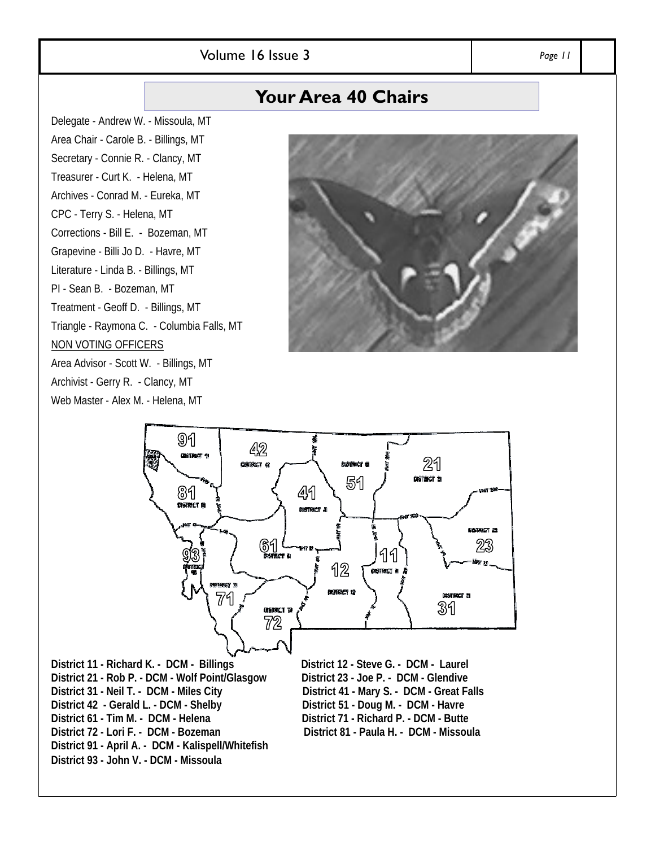### Volume 16 Issue 3 *Page 11*

# **Your Area 40 Chairs**

Delegate - Andrew W. - Missoula, MT Area Chair - Carole B. - Billings, MT Secretary - Connie R. - Clancy, MT Treasurer - Curt K. - Helena, MT Archives - Conrad M. - Eureka, MT CPC - Terry S. - Helena, MT Corrections - Bill E. - Bozeman, MT Grapevine - Billi Jo D. - Havre, MT Literature - Linda B. - Billings, MT PI - Sean B. - Bozeman, MT Treatment - Geoff D. - Billings, MT Triangle - Raymona C. - Columbia Falls, MT NON VOTING OFFICERS Area Advisor - Scott W. - Billings, MT Archivist - Gerry R. - Clancy, MT Web Master - Alex M. - Helena, MT





**District 21 - Rob P. - DCM - Wolf Point/Glasgow District 31 - Neil T. - DCM - Miles City District 41 - Mary S. - DCM - Great Falls District 42 - Gerald L. - DCM - Shelby District 51 - Doug M. - DCM - Havre**  District 61 - Tim M. - DCM - Helena District 71 - Richard P. - DCM - Butte **District 72 - Lori F. - DCM - Bozeman District 81 - Paula H. - DCM - Missoula District 91 - April A. - DCM - Kalispell/Whitefish District 93 - John V. - DCM - Missoula**